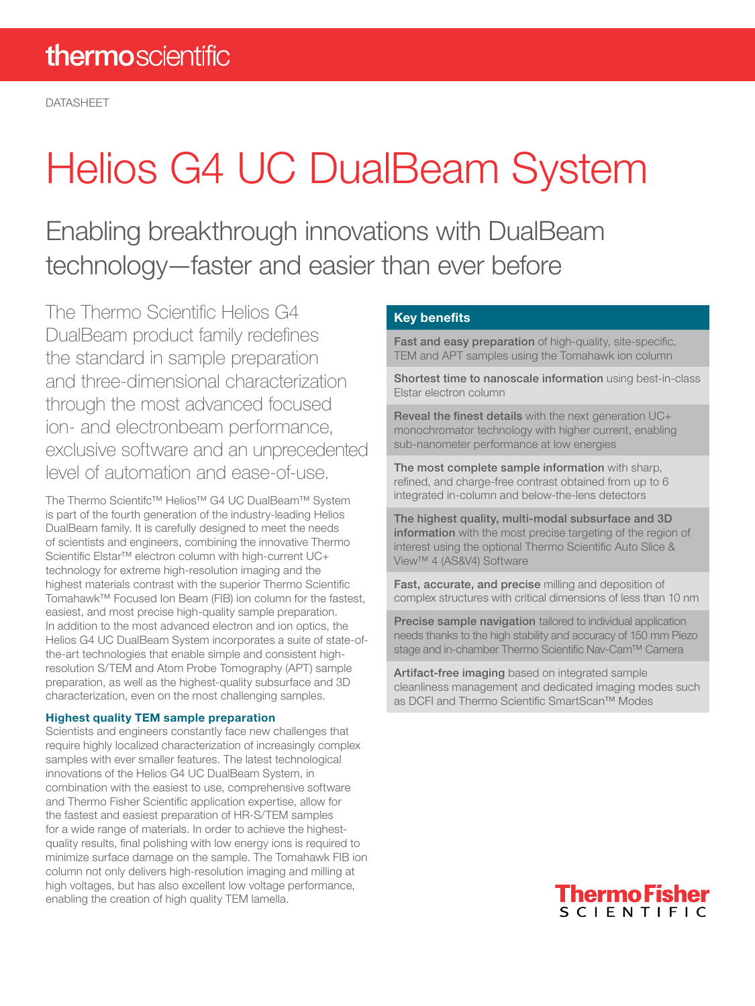# Helios G4 UC DualBeam System

Enabling breakthrough innovations with DualBeam technology—faster and easier than ever before

The Thermo Scientific Helios G4 DualBeam product family redefines the standard in sample preparation and three-dimensional characterization through the most advanced focused ion- and electronbeam performance, exclusive software and an unprecedented level of automation and ease-of-use.

The Thermo Scientifc™ Helios™ G4 UC DualBeam™ System is part of the fourth generation of the industry-leading Helios DualBeam family. It is carefully designed to meet the needs of scientists and engineers, combining the innovative Thermo Scientific Elstar<sup>™</sup> electron column with high-current UC+ technology for extreme high-resolution imaging and the highest materials contrast with the superior Thermo Scientific Tomahawk™ Focused Ion Beam (FIB) ion column for the fastest, easiest, and most precise high-quality sample preparation. In addition to the most advanced electron and ion optics, the Helios G4 UC DualBeam System incorporates a suite of state-ofthe-art technologies that enable simple and consistent highresolution S/TEM and Atom Probe Tomography (APT) sample preparation, as well as the highest-quality subsurface and 3D characterization, even on the most challenging samples.

#### Highest quality TEM sample preparation

Scientists and engineers constantly face new challenges that require highly localized characterization of increasingly complex samples with ever smaller features. The latest technological innovations of the Helios G4 UC DualBeam System, in combination with the easiest to use, comprehensive software and Thermo Fisher Scientific application expertise, allow for the fastest and easiest preparation of HR-S/TEM samples for a wide range of materials. In order to achieve the highestquality results, final polishing with low energy ions is required to minimize surface damage on the sample. The Tomahawk FIB ion column not only delivers high-resolution imaging and milling at high voltages, but has also excellent low voltage performance, enabling the creation of high quality TEM lamella.

### Key benefits

Fast and easy preparation of high-quality, site-specific, TEM and APT samples using the Tomahawk ion column

Shortest time to nanoscale information using best-in-class Elstar electron column

Reveal the finest details with the next generation UC+ monochromator technology with higher current, enabling sub-nanometer performance at low energies

The most complete sample information with sharp, refined, and charge-free contrast obtained from up to 6 integrated in-column and below-the-lens detectors

The highest quality, multi-modal subsurface and 3D information with the most precise targeting of the region of interest using the optional Thermo Scientific Auto Slice & View™ 4 (AS&V4) Software

Fast, accurate, and precise milling and deposition of complex structures with critical dimensions of less than 10 nm

Precise sample navigation tailored to individual application needs thanks to the high stability and accuracy of 150 mm Piezo stage and in-chamber Thermo Scientific Nav-Cam™ Camera

Artifact-free imaging based on integrated sample cleanliness management and dedicated imaging modes such as DCFI and Thermo Scientific SmartScan™ Modes

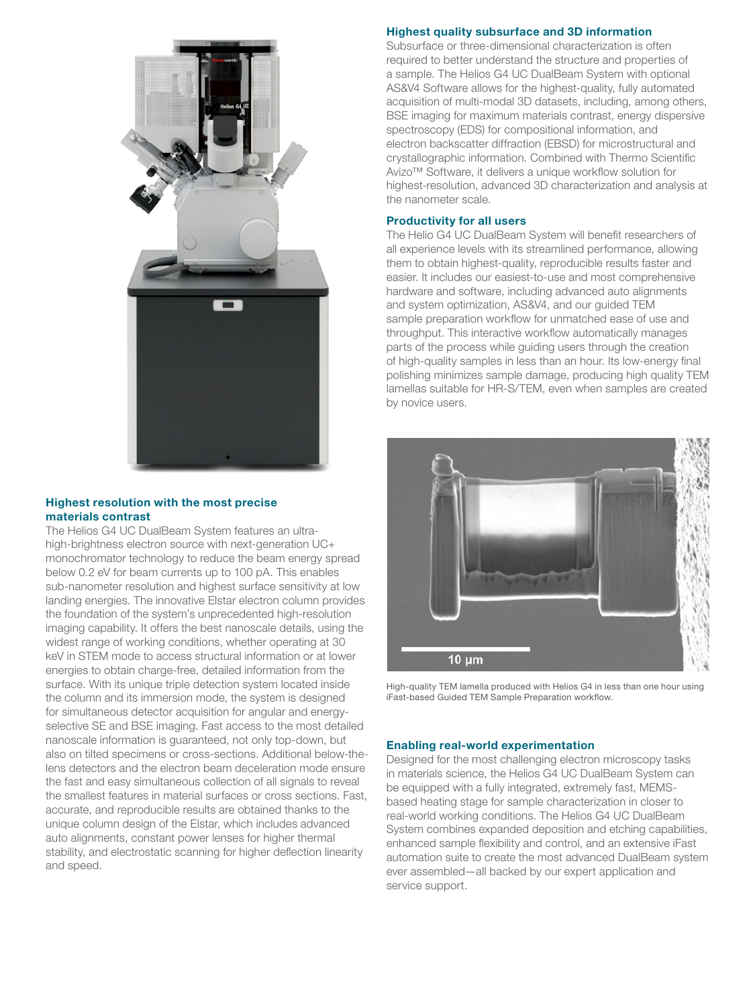

#### Highest resolution with the most precise materials contrast

The Helios G4 UC DualBeam System features an ultrahigh-brightness electron source with next-generation UC+ monochromator technology to reduce the beam energy spread below 0.2 eV for beam currents up to 100 pA. This enables sub-nanometer resolution and highest surface sensitivity at low landing energies. The innovative Elstar electron column provides the foundation of the system's unprecedented high-resolution imaging capability. It offers the best nanoscale details, using the widest range of working conditions, whether operating at 30 keV in STEM mode to access structural information or at lower energies to obtain charge-free, detailed information from the surface. With its unique triple detection system located inside the column and its immersion mode, the system is designed for simultaneous detector acquisition for angular and energyselective SE and BSE imaging. Fast access to the most detailed nanoscale information is guaranteed, not only top-down, but also on tilted specimens or cross-sections. Additional below-thelens detectors and the electron beam deceleration mode ensure the fast and easy simultaneous collection of all signals to reveal the smallest features in material surfaces or cross sections. Fast, accurate, and reproducible results are obtained thanks to the unique column design of the Elstar, which includes advanced auto alignments, constant power lenses for higher thermal stability, and electrostatic scanning for higher deflection linearity and speed.

#### Highest quality subsurface and 3D information

Subsurface or three-dimensional characterization is often required to better understand the structure and properties of a sample. The Helios G4 UC DualBeam System with optional AS&V4 Software allows for the highest-quality, fully automated acquisition of multi-modal 3D datasets, including, among others, BSE imaging for maximum materials contrast, energy dispersive spectroscopy (EDS) for compositional information, and electron backscatter diffraction (EBSD) for microstructural and crystallographic information. Combined with Thermo Scientific Avizo™ Software, it delivers a unique workflow solution for highest-resolution, advanced 3D characterization and analysis at the nanometer scale.

#### Productivity for all users

The Helio G4 UC DualBeam System will benefit researchers of all experience levels with its streamlined performance, allowing them to obtain highest-quality, reproducible results faster and easier. It includes our easiest-to-use and most comprehensive hardware and software, including advanced auto alignments and system optimization, AS&V4, and our guided TEM sample preparation workflow for unmatched ease of use and throughput. This interactive workflow automatically manages parts of the process while guiding users through the creation of high-quality samples in less than an hour. Its low-energy final polishing minimizes sample damage, producing high quality TEM lamellas suitable for HR-S/TEM, even when samples are created by novice users.



High-quality TEM lamella produced with Helios G4 in less than one hour using iFast-based Guided TEM Sample Preparation workflow.

#### Enabling real-world experimentation

Designed for the most challenging electron microscopy tasks in materials science, the Helios G4 UC DualBeam System can be equipped with a fully integrated, extremely fast, MEMSbased heating stage for sample characterization in closer to real-world working conditions. The Helios G4 UC DualBeam System combines expanded deposition and etching capabilities, enhanced sample flexibility and control, and an extensive iFast automation suite to create the most advanced DualBeam system ever assembled—all backed by our expert application and service support.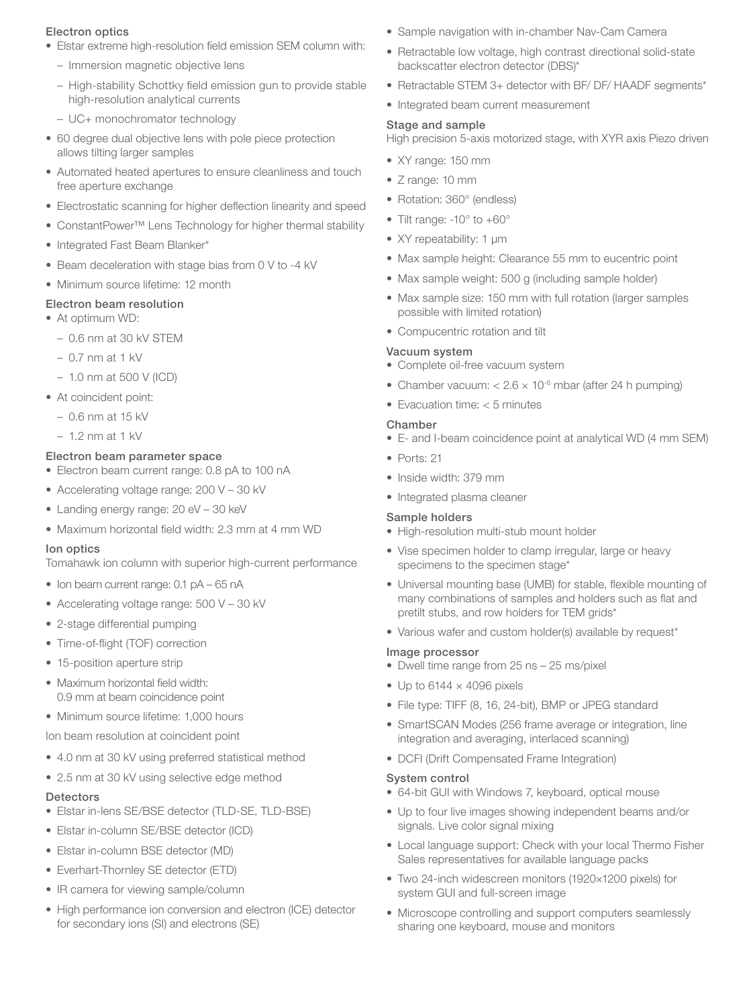#### Electron optics

- Elstar extreme high-resolution field emission SEM column with:
	- Immersion magnetic objective lens
	- High-stability Schottky field emission gun to provide stable high-resolution analytical currents
	- UC+ monochromator technology
- 60 degree dual objective lens with pole piece protection allows tilting larger samples
- Automated heated apertures to ensure cleanliness and touch free aperture exchange
- Electrostatic scanning for higher deflection linearity and speed
- ConstantPower™ Lens Technology for higher thermal stability
- Integrated Fast Beam Blanker\*
- Beam deceleration with stage bias from 0 V to -4 kV
- Minimum source lifetime: 12 month

#### Electron beam resolution

- At optimum WD:
	- 0.6 nm at 30 kV STEM
	- 0.7 nm at 1 kV
	- 1.0 nm at 500 V (ICD)
- At coincident point:
- 0.6 nm at 15 kV
- $-1.2$  nm at 1 kV

#### Electron beam parameter space

- Electron beam current range: 0.8 pA to 100 nA
- Accelerating voltage range: 200 V 30 kV
- Landing energy range: 20 eV 30 keV
- Maximum horizontal field width: 2.3 mm at 4 mm WD

#### Ion optics

Tomahawk ion column with superior high-current performance

- Ion beam current range: 0.1 pA 65 nA
- Accelerating voltage range: 500 V 30 kV
- 2-stage differential pumping
- Time-of-flight (TOF) correction
- 15-position aperture strip
- Maximum horizontal field width: 0.9 mm at beam coincidence point
- Minimum source lifetime: 1,000 hours

Ion beam resolution at coincident point

- 4.0 nm at 30 kV using preferred statistical method
- 2.5 nm at 30 kV using selective edge method

#### **Detectors**

- Elstar in-lens SE/BSE detector (TLD-SE, TLD-BSE)
- Elstar in-column SE/BSE detector (ICD)
- Elstar in-column BSE detector (MD)
- Everhart-Thornley SE detector (ETD)
- IR camera for viewing sample/column
- High performance ion conversion and electron (ICE) detector for secondary ions (SI) and electrons (SE)
- Sample navigation with in-chamber Nav-Cam Camera
- Retractable low voltage, high contrast directional solid-state backscatter electron detector (DBS)\*
- Retractable STEM 3+ detector with BF/ DF/ HAADF segments\*
- Integrated beam current measurement

#### Stage and sample

High precision 5-axis motorized stage, with XYR axis Piezo driven

- XY range: 150 mm
- Z range: 10 mm
- Rotation: 360° (endless)
- Tilt range: -10° to +60°
- XY repeatability: 1 μm
- Max sample height: Clearance 55 mm to eucentric point
- Max sample weight: 500 g (including sample holder)
- Max sample size: 150 mm with full rotation (larger samples possible with limited rotation)
- Compucentric rotation and tilt

#### Vacuum system

- Complete oil-free vacuum system
- Chamber vacuum:  $< 2.6 \times 10^{-6}$  mbar (after 24 h pumping)
- Evacuation time: < 5 minutes

#### Chamber

- E- and I-beam coincidence point at analytical WD (4 mm SEM)
- Ports: 21
- Inside width: 379 mm
- Integrated plasma cleaner

#### Sample holders

- High-resolution multi-stub mount holder
- Vise specimen holder to clamp irregular, large or heavy specimens to the specimen stage\*
- Universal mounting base (UMB) for stable, flexible mounting of many combinations of samples and holders such as flat and pretilt stubs, and row holders for TEM grids\*
- Various wafer and custom holder(s) available by request\*

#### Image processor

- Dwell time range from 25 ns 25 ms/pixel
- Up to  $6144 \times 4096$  pixels
- File type: TIFF (8, 16, 24-bit), BMP or JPEG standard
- SmartSCAN Modes (256 frame average or integration, line integration and averaging, interlaced scanning)
- DCFI (Drift Compensated Frame Integration)

#### System control

- 64-bit GUI with Windows 7, keyboard, optical mouse
- Up to four live images showing independent beams and/or signals. Live color signal mixing
- Local language support: Check with your local Thermo Fisher Sales representatives for available language packs
- Two 24-inch widescreen monitors (1920×1200 pixels) for system GUI and full-screen image
- Microscope controlling and support computers seamlessly sharing one keyboard, mouse and monitors